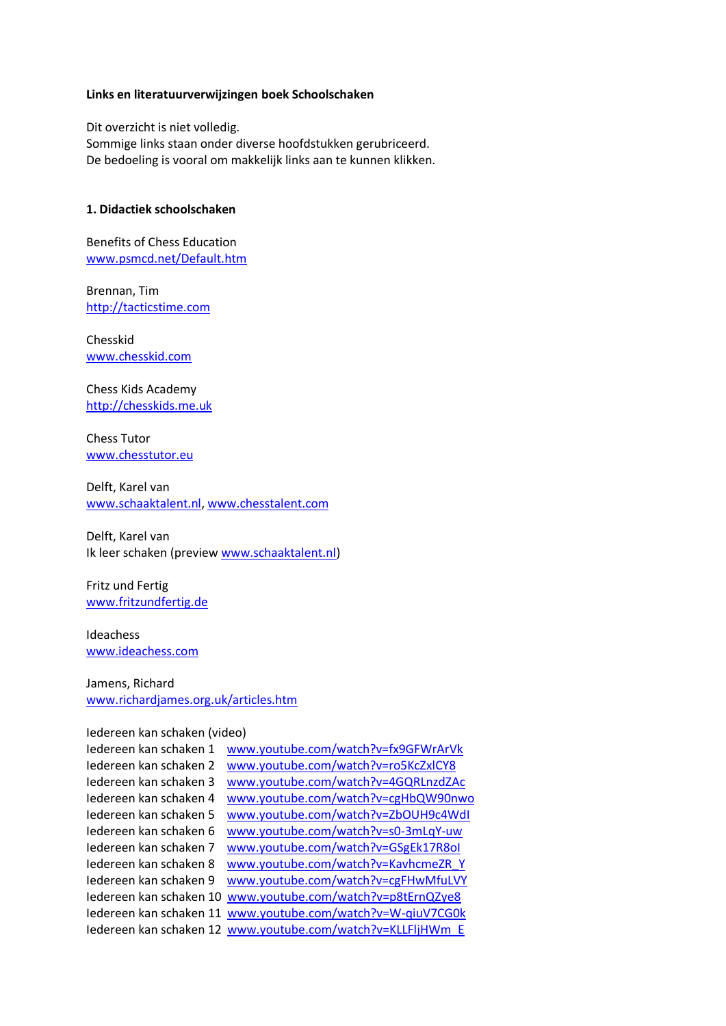#### **Links en literatuurverwijzingen boek Schoolschaken**

Dit overzicht is niet volledig. Sommige links staan onder diverse hoofdstukken gerubriceerd. De bedoeling is vooral om makkelijk links aan te kunnen klikken.

#### **1. Didactiek schoolschaken**

Benefits of Chess Education [www.psmcd.net/Default.htm](http://www.psmcd.net/Default.htm)

Brennan, Tim [http://tacticstime.com](http://tacticstime.com/)

Chesskid [www.chesskid.com](http://www.chesskid.com/) 

Chess Kids Academy [http://chesskids.me.uk](http://chesskids.me.uk/)

Chess Tutor [www.chesstutor.eu](http://www.chesstutor.eu/)

Delft, Karel van [www.schaaktalent.nl,](http://www.schaaktalent.nl/) [www.chesstalent.com](http://www.chesstalent.com/)

Delft, Karel van Ik leer schaken (preview [www.schaaktalent.nl\)](http://www.schaaktalent.nl/)

Fritz und Fertig [www.fritzundfertig.de](http://www.fritzundfertig.de/)

Ideachess [www.ideachess.com](http://www.ideachess.com/)

#### Jamens, Richard [www.richardjames.org.uk/articles.htm](http://www.richardjames.org.uk/articles.htm)

# Iedereen kan schaken (video)

| www.youtube.com/watch?v=fx9GFWrArVk                         |
|-------------------------------------------------------------|
| www.youtube.com/watch?v=ro5KcZxlCY8                         |
| www.youtube.com/watch?v=4GQRLnzdZAc                         |
| www.youtube.com/watch?v=cgHbQW90nwo                         |
| www.youtube.com/watch?v=ZbQUH9c4WdI                         |
| www.youtube.com/watch?v=s0-3mLqY-uw                         |
| www.youtube.com/watch?v=GSgEk17R8ol                         |
| www.youtube.com/watch?v=KavhcmeZR Y                         |
| www.youtube.com/watch?v=cgFHwMfuLVY                         |
| www.youtube.com/watch?v=p8tErnQZye8                         |
| www.youtube.com/watch?v=W-qiuV7CG0k                         |
| Iedereen kan schaken 12 www.youtube.com/watch?v=KLLFljHWm E |
|                                                             |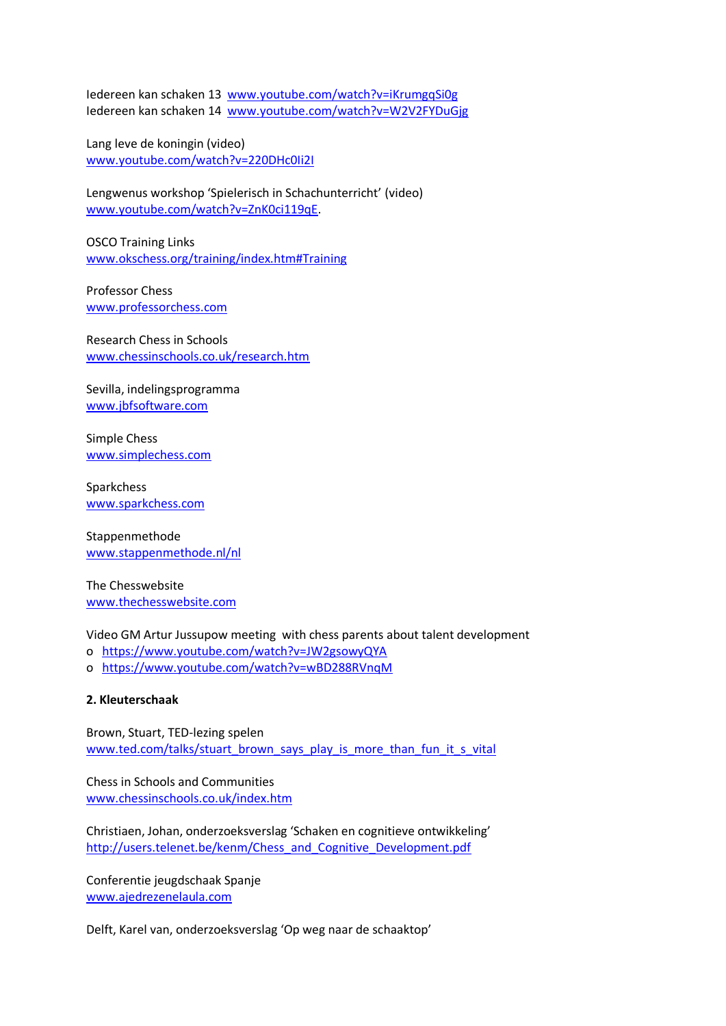Iedereen kan schaken 13 [www.youtube.com/watch?v=iKrumgqSi0g](http://www.youtube.com/watch?v=iKrumgqSi0g) Iedereen kan schaken 14 [www.youtube.com/watch?v=W2V2FYDuGjg](http://www.youtube.com/watch?v=W2V2FYDuGjg)

Lang leve de koningin (video) [www.youtube.com/watch?v=220DHc0Ii2I](http://www.youtube.com/watch?v=220DHc0Ii2I)

Lengwenus workshop 'Spielerisch in Schachunterricht' (video) [www.youtube.com/watch?v=ZnK0ci119qE.](http://www.youtube.com/watch?v=ZnK0ci119qE)

OSCO Training Links [www.okschess.org/training/index.htm#Training](http://www.okschess.org/training/index.htm#Training)

Professor Chess [www.professorchess.com](http://www.professorchess.com/)

Research Chess in Schools [www.chessinschools.co.uk/research.htm](http://www.chessinschools.co.uk/research.htm) 

Sevilla, indelingsprogramma [www.jbfsoftware.com](http://www.jbfsoftware.com/)

Simple Chess [www.simplechess.com](http://www.simplechess.com/)

Sparkchess [www.sparkchess.com](http://www.sparkchess.com/)

Stappenmethode [www.stappenmethode.nl/nl](http://www.stappenmethode.nl/nl)

The Chesswebsite [www.thechesswebsite.com](http://www.thechesswebsite.com/)

Video GM Artur Jussupow meeting with chess parents about talent development

- o <https://www.youtube.com/watch?v=JW2gsowyQYA>
- o <https://www.youtube.com/watch?v=wBD288RVnqM>

# **2. Kleuterschaak**

Brown, Stuart, TED-lezing spelen [www.ted.com/talks/stuart\\_brown\\_says\\_play\\_is\\_more\\_than\\_fun\\_it\\_s\\_vital](http://www.ted.com/talks/stuart_brown_says_play_is_more_than_fun_it_s_vital)

Chess in Schools and Communities [www.chessinschools.co.uk/index.htm](http://www.chessinschools.co.uk/index.htm)

Christiaen, Johan, onderzoeksverslag 'Schaken en cognitieve ontwikkeling' [http://users.telenet.be/kenm/Chess\\_and\\_Cognitive\\_Development.pdf](http://users.telenet.be/kenm/Chess_and_Cognitive_Development.pdf)

Conferentie jeugdschaak Spanje [www.ajedrezenelaula.com](http://www.ajedrezenelaula.com/)

Delft, Karel van, onderzoeksverslag 'Op weg naar de schaaktop'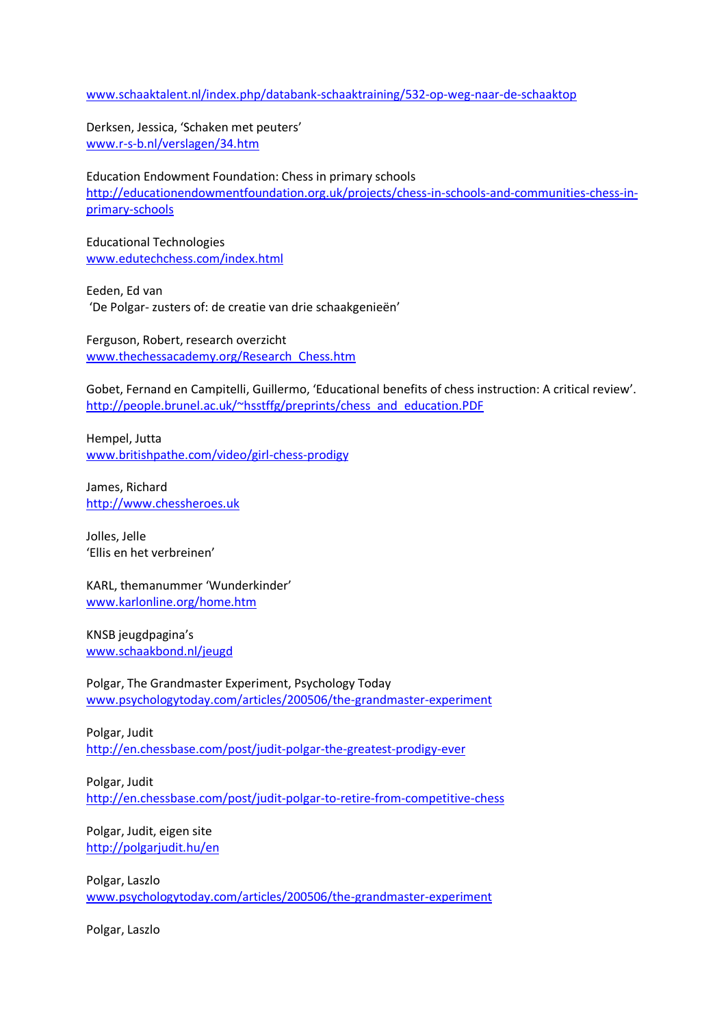#### [www.schaaktalent.nl/index.php/databank-schaaktraining/532-op-weg-naar-de-schaaktop](http://www.schaaktalent.nl/index.php/databank-schaaktraining/532-op-weg-naar-de-schaaktop)

Derksen, Jessica, 'Schaken met peuters' [www.r-s-b.nl/verslagen/34.htm](http://www.r-s-b.nl/verslagen/34.htm)

Education Endowment Foundation: Chess in primary schools [http://educationendowmentfoundation.org.uk/projects/chess-in-schools-and-communities-chess-in](http://educationendowmentfoundation.org.uk/projects/chess-in-schools-and-communities-chess-in-primary-schools)[primary-schools](http://educationendowmentfoundation.org.uk/projects/chess-in-schools-and-communities-chess-in-primary-schools)

Educational Technologies [www.edutechchess.com/index.html](http://www.edutechchess.com/index.html)

Eeden, Ed van 'De Polgar- zusters of: de creatie van drie schaakgenieën'

Ferguson, Robert, research overzicht [www.thechessacademy.org/Research\\_Chess.htm](http://www.thechessacademy.org/Research_Chess.htm)

Gobet, Fernand en Campitelli, Guillermo, 'Educational benefits of chess instruction: A critical review'. [http://people.brunel.ac.uk/~hsstffg/preprints/chess\\_and\\_education.PDF](http://people.brunel.ac.uk/~hsstffg/preprints/chess_and_education.PDF)

Hempel, Jutta [www.britishpathe.com/video/girl-chess-prodigy](http://www.britishpathe.com/video/girl-chess-prodigy)

James, Richard [http://www.chessheroes.uk](http://www.chessheroes.uk/)

Jolles, Jelle 'Ellis en het verbreinen'

KARL, themanummer 'Wunderkinder' [www.karlonline.org/home.htm](http://www.karlonline.org/home.htm)

KNSB jeugdpagina's [www.schaakbond.nl/jeugd](http://www.schaakbond.nl/jeugd)

Polgar, The Grandmaster Experiment, Psychology Today [www.psychologytoday.com/articles/200506/the-grandmaster-experiment](http://www.psychologytoday.com/articles/200506/the-grandmaster-experiment)

Polgar, Judit <http://en.chessbase.com/post/judit-polgar-the-greatest-prodigy-ever>

Polgar, Judit <http://en.chessbase.com/post/judit-polgar-to-retire-from-competitive-chess>

Polgar, Judit, eigen site <http://polgarjudit.hu/en>

Polgar, Laszlo [www.psychologytoday.com/articles/200506/the-grandmaster-experiment](http://www.psychologytoday.com/articles/200506/the-grandmaster-experiment)

Polgar, Laszlo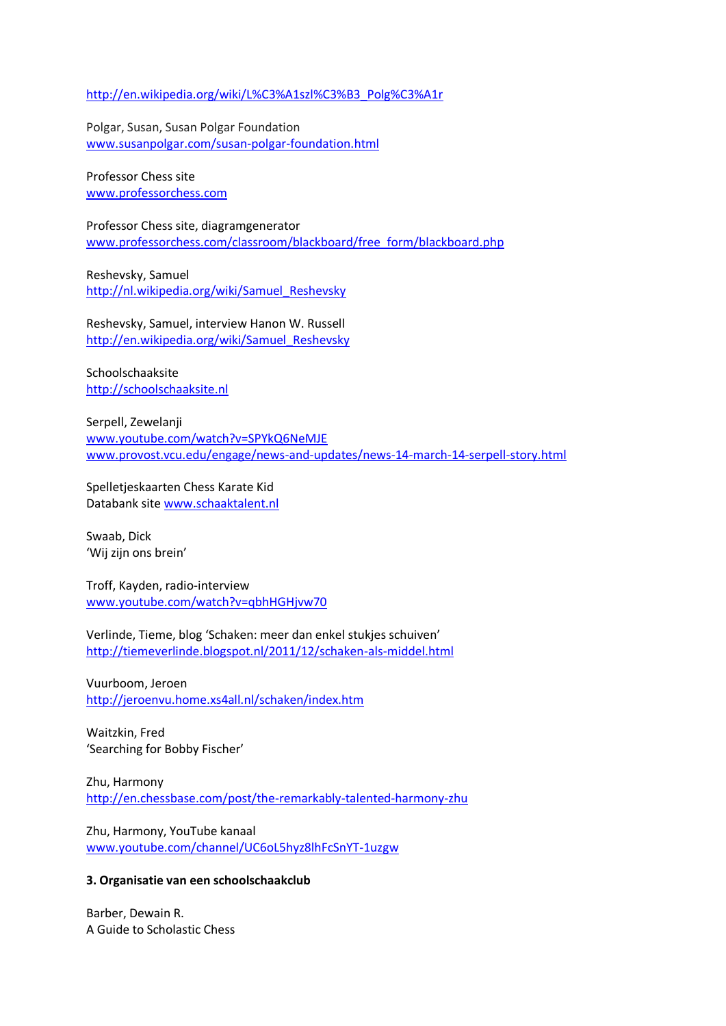[http://en.wikipedia.org/wiki/L%C3%A1szl%C3%B3\\_Polg%C3%A1r](http://en.wikipedia.org/wiki/L%C3%A1szl%C3%B3_Polg%C3%A1r)

Polgar, Susan, Susan Polgar Foundation [www.susanpolgar.com/susan-polgar-foundation.html](http://www.susanpolgar.com/susan-polgar-foundation.html)

Professor Chess site [www.professorchess.com](http://www.professorchess.com/)

Professor Chess site, diagramgenerator [www.professorchess.com/classroom/blackboard/free\\_form/blackboard.php](http://www.professorchess.com/classroom/blackboard/free_form/blackboard.php)

Reshevsky, Samuel [http://nl.wikipedia.org/wiki/Samuel\\_Reshevsky](http://nl.wikipedia.org/wiki/Samuel_Reshevsky)

Reshevsky, Samuel, interview Hanon W. Russell [http://en.wikipedia.org/wiki/Samuel\\_Reshevsky](http://en.wikipedia.org/wiki/Samuel_Reshevsky)

Schoolschaaksite [http://schoolschaaksite.nl](http://schoolschaaksite.nl/)

Serpell, Zewelanji [www.youtube.com/watch?v=SPYkQ6NeMJE](http://www.youtube.com/watch?v=SPYkQ6NeMJE) [www.provost.vcu.edu/engage/news-and-updates/news-14-march-14-serpell-story.html](http://www.provost.vcu.edu/engage/news-and-updates/news-14-march-14-serpell-story.html)

Spelletjeskaarten Chess Karate Kid Databank site [www.schaaktalent.nl](http://www.schaaktalent.nl/)

Swaab, Dick 'Wij zijn ons brein'

Troff, Kayden, radio-interview [www.youtube.com/watch?v=qbhHGHjvw70](http://www.youtube.com/watch?v=qbhHGHjvw70)

Verlinde, Tieme, blog 'Schaken: meer dan enkel stukjes schuiven' <http://tiemeverlinde.blogspot.nl/2011/12/schaken-als-middel.html>

Vuurboom, Jeroen <http://jeroenvu.home.xs4all.nl/schaken/index.htm>

Waitzkin, Fred 'Searching for Bobby Fischer'

Zhu, Harmony <http://en.chessbase.com/post/the-remarkably-talented-harmony-zhu>

Zhu, Harmony, YouTube kanaal [www.youtube.com/channel/UC6oL5hyz8lhFcSnYT-1uzgw](http://www.youtube.com/channel/UC6oL5hyz8lhFcSnYT-1uzgw)

#### **3. Organisatie van een schoolschaakclub**

Barber, Dewain R. A Guide to Scholastic Chess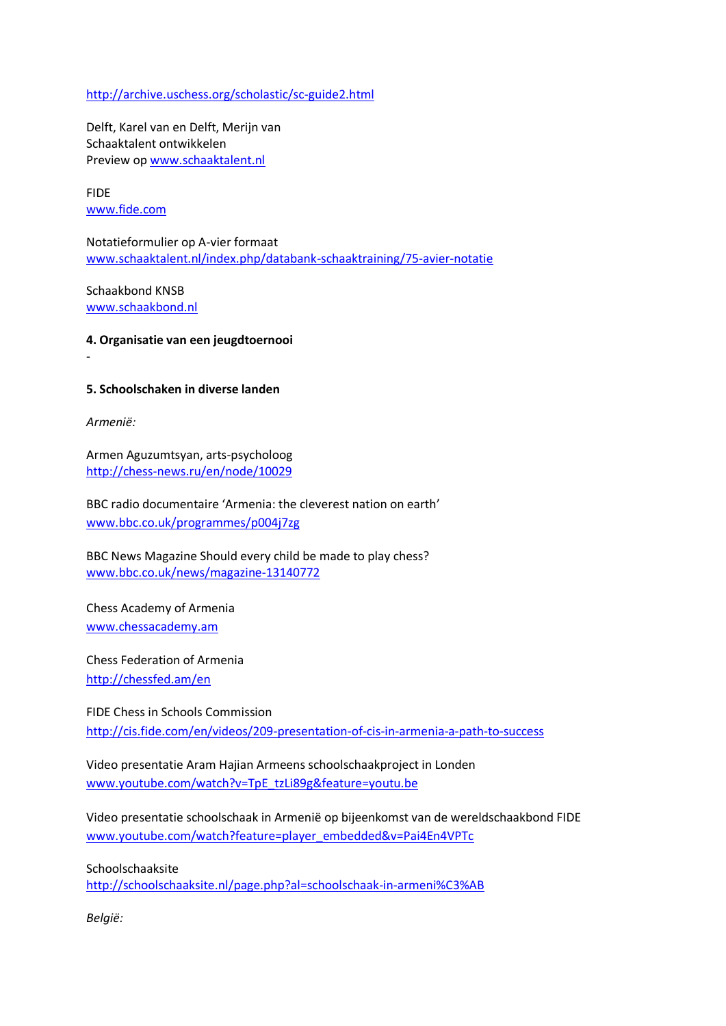<http://archive.uschess.org/scholastic/sc-guide2.html>

Delft, Karel van en Delft, Merijn van Schaaktalent ontwikkelen Preview op [www.schaaktalent.nl](http://www.schaaktalent.nl/)

FIDE [www.fide.com](http://www.fide.com/)

Notatieformulier op A-vier formaat [www.schaaktalent.nl/index.php/databank-schaaktraining/75-avier-notatie](http://www.schaaktalent.nl/index.php/databank-schaaktraining/75-avier-notatie)

Schaakbond KNSB [www.schaakbond.nl](http://www.schaakbond.nl/)

**4. Organisatie van een jeugdtoernooi**

## **5. Schoolschaken in diverse landen**

*Armenië:*

-

Armen Aguzumtsyan, arts-psycholoog <http://chess-news.ru/en/node/10029>

BBC radio documentaire 'Armenia: the cleverest nation on earth' [www.bbc.co.uk/programmes/p004j7zg](http://www.bbc.co.uk/programmes/p004j7zg)

BBC News Magazine Should every child be made to play chess? [www.bbc.co.uk/news/magazine-13140772](http://www.bbc.co.uk/news/magazine-13140772)

Chess Academy of Armenia [www.chessacademy.am](http://www.chessacademy.am/)

Chess Federation of Armenia <http://chessfed.am/en>

FIDE Chess in Schools Commission <http://cis.fide.com/en/videos/209-presentation-of-cis-in-armenia-a-path-to-success>

Video presentatie Aram Hajian Armeens schoolschaakproject in Londen [www.youtube.com/watch?v=TpE\\_tzLi89g&feature=youtu.be](http://www.youtube.com/watch?v=TpE_tzLi89g&feature=youtu.be)

Video presentatie schoolschaak in Armenië op bijeenkomst van de wereldschaakbond FIDE [www.youtube.com/watch?feature=player\\_embedded&v=Pai4En4VPTc](http://www.youtube.com/watch?feature=player_embedded&v=Pai4En4VPTc)

Schoolschaaksite

<http://schoolschaaksite.nl/page.php?al=schoolschaak-in-armeni%C3%AB>

*België:*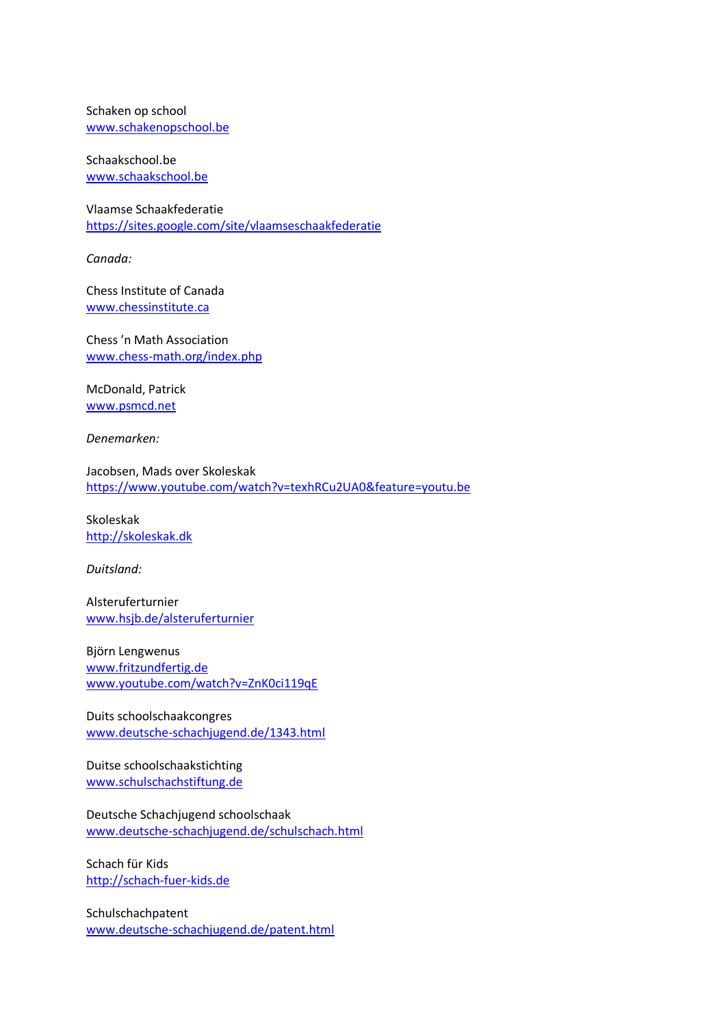Schaken op school [www.schakenopschool.be](http://www.schakenopschool.be/)

Schaakschool.be [www.schaakschool.be](http://www.schaakschool.be/)

Vlaamse Schaakfederatie <https://sites.google.com/site/vlaamseschaakfederatie>

*Canada:*

Chess Institute of Canada [www.chessinstitute.ca](http://www.chessinstitute.ca/)

Chess 'n Math Association [www.chess-math.org/index.php](http://www.chess-math.org/index.php)

McDonald, Patrick [www.psmcd.net](http://www.psmcd.net/)

*Denemarken:*

Jacobsen, Mads over Skoleskak <https://www.youtube.com/watch?v=texhRCu2UA0&feature=youtu.be>

Skoleskak [http://skoleskak.dk](http://skoleskak.dk/)

*Duitsland:*

Alsteruferturnier [www.hsjb.de/alsteruferturnier](http://www.hsjb.de/alsteruferturnier)

Björn Lengwenus [www.fritzundfertig.de](http://www.fritzundfertig.de/) [www.youtube.com/watch?v=ZnK0ci119qE](http://www.youtube.com/watch?v=ZnK0ci119qE)

Duits schoolschaakcongres [www.deutsche-schachjugend.de/1343.html](http://www.deutsche-schachjugend.de/1343.html)

Duitse schoolschaakstichting [www.schulschachstiftung.de](http://www.schulschachstiftung.de/)

Deutsche Schachjugend schoolschaak [www.deutsche-schachjugend.de/schulschach.html](http://www.deutsche-schachjugend.de/schulschach.html)

Schach für Kids [http://schach-fuer-kids.de](http://schach-fuer-kids.de/)

Schulschachpatent [www.deutsche-schachjugend.de/patent.html](http://www.deutsche-schachjugend.de/patent.html)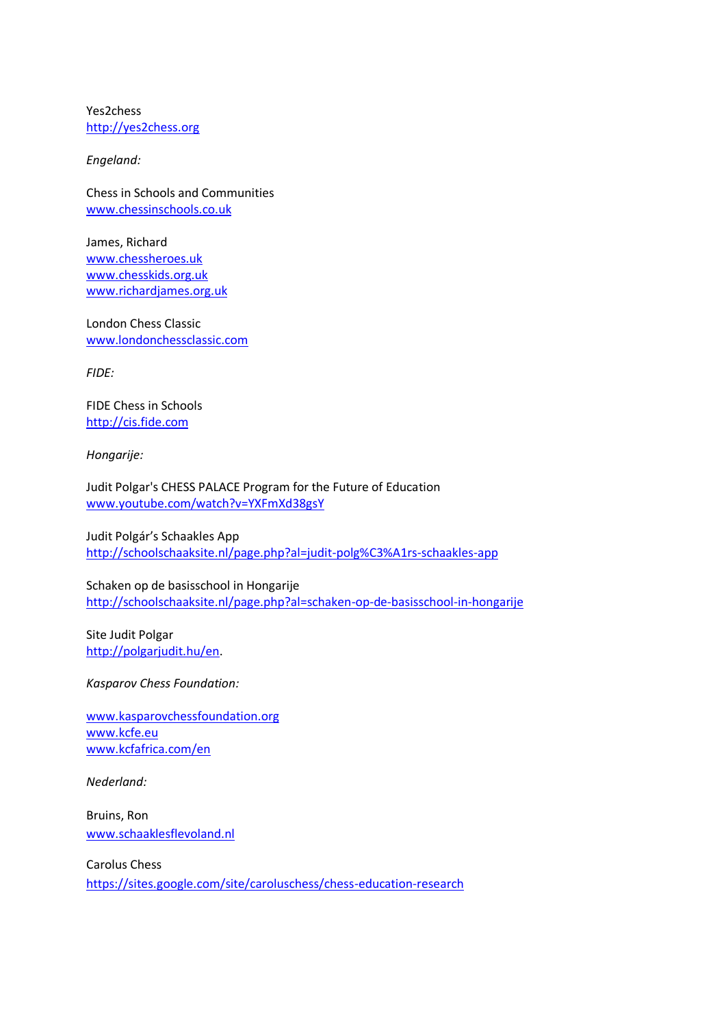Yes2chess [http://yes2chess.org](http://yes2chess.org/)

*Engeland:*

Chess in Schools and Communities [www.chessinschools.co.uk](http://www.chessinschools.co.uk/)

James, Richard [www.chessheroes.uk](http://www.chessheroes.uk/) [www.chesskids.org.uk](http://www.chesskids.org.uk/) [www.richardjames.org.uk](http://www.richardjames.org.uk/)

London Chess Classic [www.londonchessclassic.com](http://www.londonchessclassic.com/)

*FIDE:*

FIDE Chess in Schools [http://cis.fide.com](http://cis.fide.com/)

*Hongarije:*

Judit Polgar's CHESS PALACE Program for the Future of Education [www.youtube.com/watch?v=YXFmXd38gsY](http://www.youtube.com/watch?v=YXFmXd38gsY)

Judit Polgár's Schaakles App <http://schoolschaaksite.nl/page.php?al=judit-polg%C3%A1rs-schaakles-app>

Schaken op de basisschool in Hongarije <http://schoolschaaksite.nl/page.php?al=schaken-op-de-basisschool-in-hongarije>

Site Judit Polgar [http://polgarjudit.hu/en.](http://polgarjudit.hu/en)

*Kasparov Chess Foundation:*

[www.kasparovchessfoundation.org](http://www.kasparovchessfoundation.org/) [www.kcfe.eu](http://www.kcfe.eu/) [www.kcfafrica.com/en](http://www.kcfafrica.com/en) 

*Nederland:*

Bruins, Ron [www.schaaklesflevoland.nl](http://www.schaaklesflevoland.nl/)

Carolus Chess <https://sites.google.com/site/caroluschess/chess-education-research>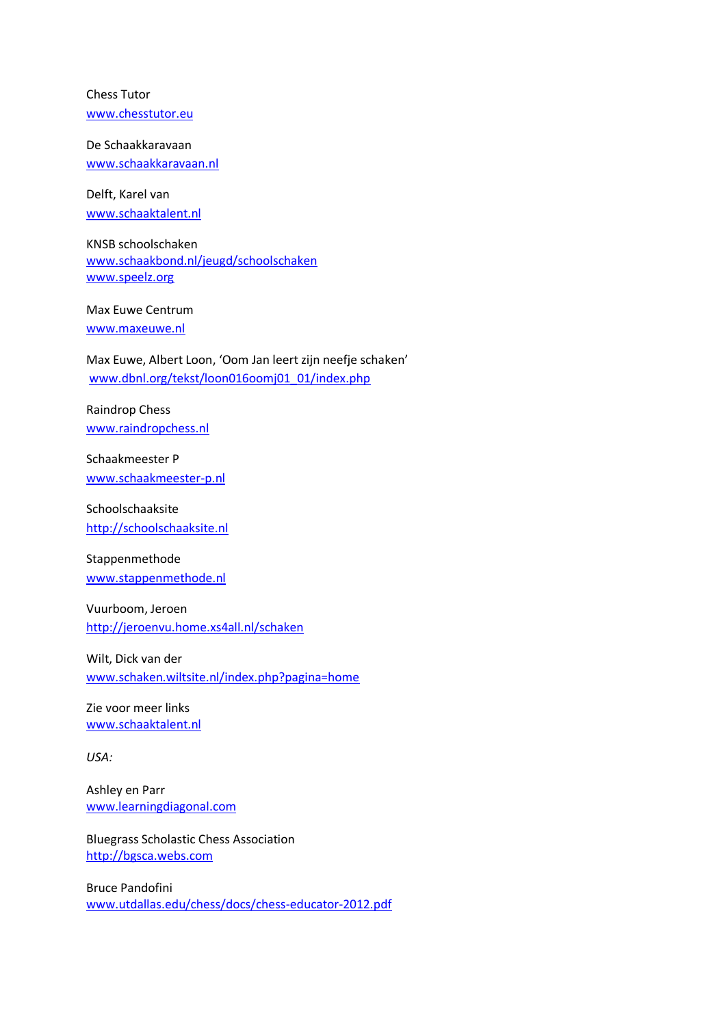Chess Tutor [www.chesstutor.eu](http://www.chesstutor.eu/)

De Schaakkaravaan [www.schaakkaravaan.nl](http://www.schaakkaravaan.nl/)

Delft, Karel van [www.schaaktalent.nl](http://www.schaaktalent.nl/)

KNSB schoolschaken [www.schaakbond.nl/jeugd/schoolschaken](http://www.schaakbond.nl/jeugd/schoolschaken) [www.speelz.org](http://www.speelz.org/)

Max Euwe Centrum [www.maxeuwe.nl](http://www.maxeuwe.nl/)

Max Euwe, Albert Loon, 'Oom Jan leert zijn neefje schaken' [www.dbnl.org/tekst/loon016oomj01\\_01/index.php](http://www.dbnl.org/tekst/loon016oomj01_01/index.php)

Raindrop Chess [www.raindropchess.nl](http://www.raindropchess.nl/)

Schaakmeester P [www.schaakmeester-p.nl](http://www.schaakmeester-p.nl/)

Schoolschaaksite [http://schoolschaaksite.nl](http://schoolschaaksite.nl/)

Stappenmethode [www.stappenmethode.nl](http://www.stappenmethode.nl/)

Vuurboom, Jeroen <http://jeroenvu.home.xs4all.nl/schaken>

Wilt, Dick van der [www.schaken.wiltsite.nl/index.php?pagina=home](http://www.schaken.wiltsite.nl/index.php?pagina=home)

Zie voor meer links [www.schaaktalent.nl](http://www.schaaktalent.nl/)

*USA:*

Ashley en Parr [www.learningdiagonal.com](http://www.learningdiagonal.com/)

[Bluegrass Scholastic Chess Association](http://bgsca.webs.com/) [http://bgsca.webs.com](http://bgsca.webs.com/)

Bruce Pandofini [www.utdallas.edu/chess/docs/chess-educator-2012.pdf](http://www.utdallas.edu/chess/docs/chess-educator-2012.pdf)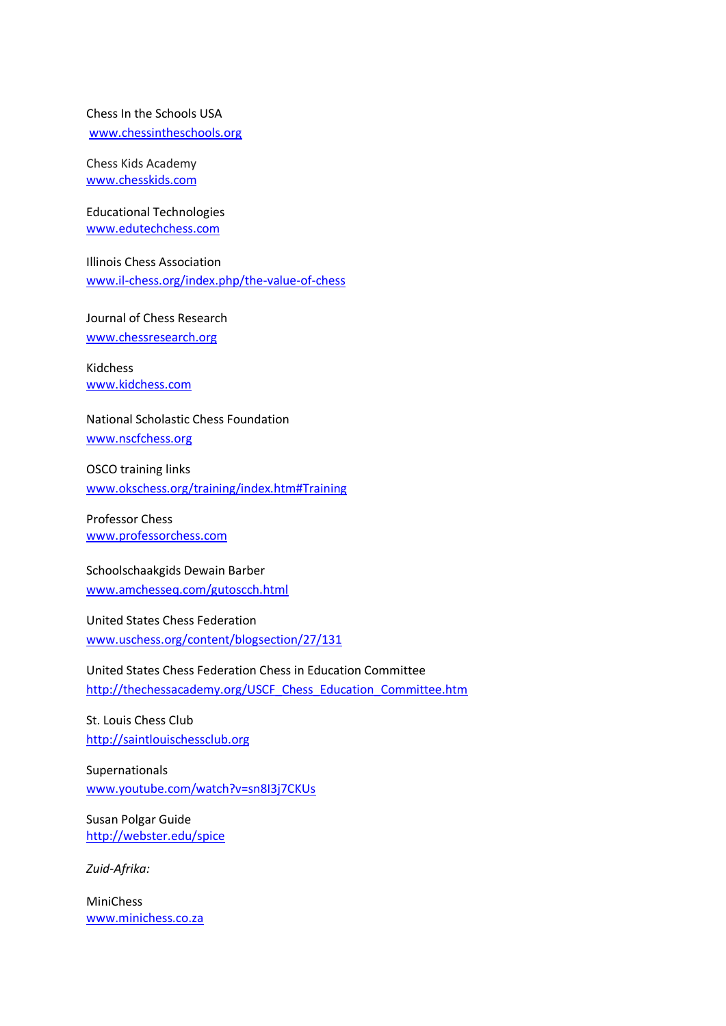# Chess In the Schools USA

[www.chessintheschools.org](http://www.chessintheschools.org/)

Chess Kids Academy [www.chesskids.com](http://www.chesskids.com/)

Educational Technologies [www.edutechchess.com](http://www.edutechchess.com/)

Illinois Chess Association [www.il-chess.org/index.php/the-value-of-chess](http://www.il-chess.org/index.php/the-value-of-chess)

Journal of Chess Research [www.chessresearch.org](http://www.chessresearch.org/)

Kidchess [www.kidchess.com](http://www.kidchess.com/)

National Scholastic Chess Foundation

[www.nscfchess.org](http://www.nscfchess.org/)

OSCO training links [www.okschess.org/training/index.htm#Training](http://www.okschess.org/training/index.htm#Training)

Professor Chess [www.professorchess.com](http://www.professorchess.com/)

Schoolschaakgids Dewain Barber [www.amchesseq.com/gutoscch.html](http://www.amchesseq.com/gutoscch.html)

United States Chess Federation [www.uschess.org/content/blogsection/27/131](http://www.uschess.org/content/blogsection/27/131/)

United States Chess Federation Chess in Education Committee [http://thechessacademy.org/USCF\\_Chess\\_Education\\_Committee.htm](http://thechessacademy.org/USCF_Chess_Education_Committee.htm)

St. Louis Chess Club [http://saintlouischessclub.org](http://saintlouischessclub.org/)

Supernationals [www.youtube.com/watch?v=sn8I3j7CKUs](http://www.youtube.com/watch?v=sn8I3j7CKUs)

Susan Polgar Guide [http://webster.edu/spice](http://webster.edu/spice/)

*Zuid-Afrika:*

MiniChess [www.minichess.co.za](http://www.minichess.co.za/)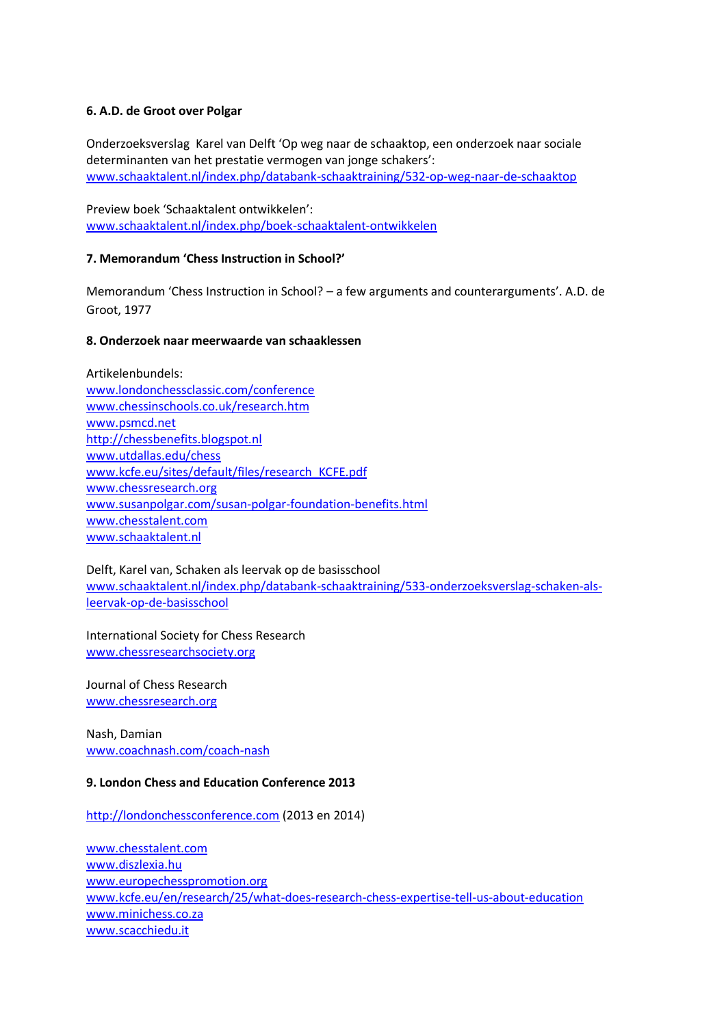# **6. A.D. de Groot over Polgar**

Onderzoeksverslag Karel van Delft 'Op weg naar de schaaktop, een onderzoek naar sociale determinanten van het prestatie vermogen van jonge schakers': www.schaaktalent.nl/index.php/databank-schaaktraining/532-op-weg-naar-de-schaaktop

Preview boek 'Schaaktalent ontwikkelen': [www.schaaktalent.nl/index.php/boek-schaaktalent-ontwikkelen](http://www.schaaktalent.nl/index.php/boek-schaaktalent-ontwikkelen)

# **7. Memorandum 'Chess Instruction in School?'**

Memorandum 'Chess Instruction in School? – a few arguments and counterarguments'. A.D. de Groot, 1977

## **8. Onderzoek naar meerwaarde van schaaklessen**

Artikelenbundels: [www.londonchessclassic.com/conference](http://www.londonchessclassic.com/conference) [www.chessinschools.co.uk/research.htm](http://www.chessinschools.co.uk/research.htm) [www.psmcd.net](http://www.psmcd.net/) [http://chessbenefits.blogspot.nl](http://chessbenefits.blogspot.nl/) [www.utdallas.edu/chess](http://www.utdallas.edu/chess) [www.kcfe.eu/sites/default/files/research\\_KCFE.pdf](http://www.kcfe.eu/sites/default/files/research_KCFE.pdf) [www.chessresearch.org](http://www.chessresearch.org/) [www.susanpolgar.com/susan-polgar-foundation-benefits.html](http://www.susanpolgar.com/susan-polgar-foundation-benefits.html) [www.chesstalent.com](http://www.chesstalent.com/) [www.schaaktalent.nl](http://www.schaaktalent.nl/)

Delft, Karel van, Schaken als leervak op de basisschool [www.schaaktalent.nl/index.php/databank-schaaktraining/533-onderzoeksverslag-schaken-als](http://www.schaaktalent.nl/index.php/databank-schaaktraining/533-onderzoeksverslag-schaken-als-leervak-op-de-basisschool)[leervak-op-de-basisschool](http://www.schaaktalent.nl/index.php/databank-schaaktraining/533-onderzoeksverslag-schaken-als-leervak-op-de-basisschool)

International Society for Chess Research [www.chessresearchsociety.org](http://www.chessresearchsociety.org/)

Journal of Chess Research [www.chessresearch.org](http://www.chessresearch.org/)

Nash, Damian [www.coachnash.com/coach-nash](http://www.coachnash.com/coach-nash)

## **9. London Chess and Education Conference 2013**

[http://londonchessconference.com](http://londonchessconference.com/) (2013 en 2014)

[www.chesstalent.com](http://www.chesstalent.com/) [www.diszlexia.hu](http://www.diszlexia.hu/) [www.europechesspromotion.org](http://www.europechesspromotion.org/) [www.kcfe.eu/en/research/25/what-does-research-chess-expertise-tell-us-about-education](http://www.kcfe.eu/en/research/25/what-does-research-chess-expertise-tell-us-about-education) [www.minichess.co.za](http://www.minichess.co.za/) [www.scacchiedu.it](http://www.scacchiedu.it/)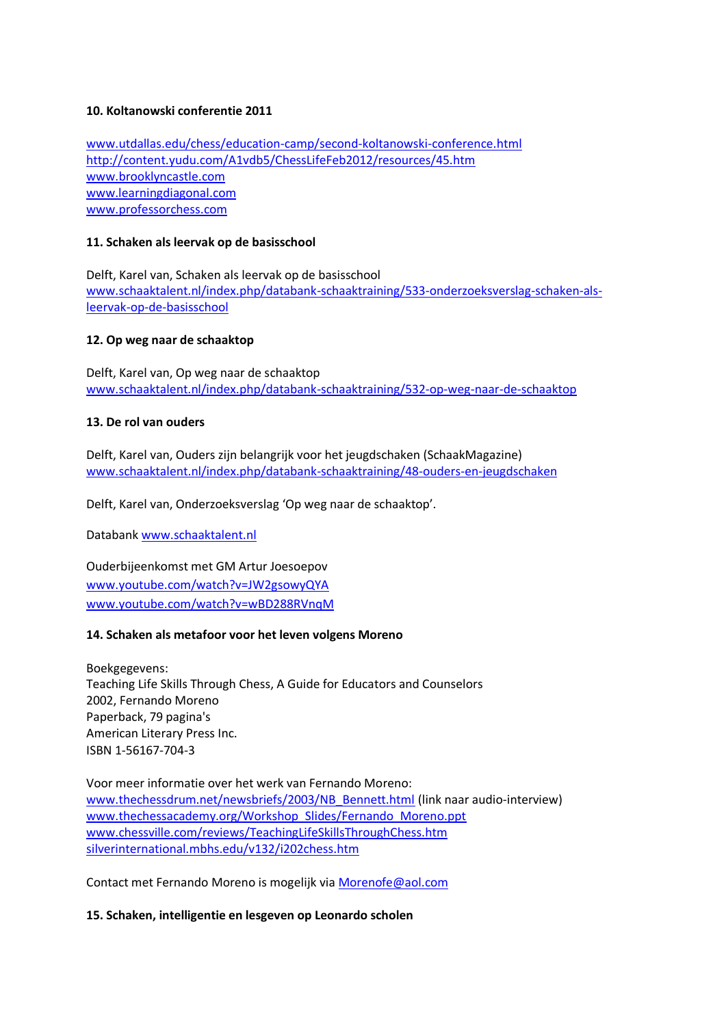# **10. Koltanowski conferentie 2011**

[www.utdallas.edu/chess/education-camp/second-koltanowski-conference.html](http://www.utdallas.edu/chess/education-camp/second-koltanowski-conference.html) <http://content.yudu.com/A1vdb5/ChessLifeFeb2012/resources/45.htm> [www.brooklyncastle.com](http://www.brooklyncastle.com/) [www.learningdiagonal.com](http://www.learningdiagonal.com/) [www.professorchess.com](http://www.professorchess.com/)

# **11. Schaken als leervak op de basisschool**

Delft, Karel van, Schaken als leervak op de basisschool [www.schaaktalent.nl/index.php/databank-schaaktraining/533-onderzoeksverslag-schaken-als](http://www.schaaktalent.nl/index.php/databank-schaaktraining/533-onderzoeksverslag-schaken-als-leervak-op-de-basisschool)[leervak-op-de-basisschool](http://www.schaaktalent.nl/index.php/databank-schaaktraining/533-onderzoeksverslag-schaken-als-leervak-op-de-basisschool)

# **12. Op weg naar de schaaktop**

Delft, Karel van, Op weg naar de schaaktop [www.schaaktalent.nl/index.php/databank-schaaktraining/532-op-weg-naar-de-schaaktop](http://www.schaaktalent.nl/index.php/databank-schaaktraining/532-op-weg-naar-de-schaaktop)

# **13. De rol van ouders**

Delft, Karel van, Ouders zijn belangrijk voor het jeugdschaken (SchaakMagazine) [www.schaaktalent.nl/index.php/databank-schaaktraining/48-ouders-en-jeugdschaken](http://www.schaaktalent.nl/index.php/databank-schaaktraining/48-ouders-en-jeugdschaken)

Delft, Karel van, Onderzoeksverslag 'Op weg naar de schaaktop'.

Databank [www.schaaktalent.nl](http://www.schaaktalent.nl/)

Ouderbijeenkomst met GM Artur Joesoepov [www.youtube.com/watch?v=JW2gsowyQYA](http://www.youtube.com/watch?v=JW2gsowyQYA) [www.youtube.com/watch?v=wBD288RVnqM](http://www.youtube.com/watch?v=wBD288RVnqM)

## **14. Schaken als metafoor voor het leven volgens Moreno**

Boekgegevens: Teaching Life Skills Through Chess, A Guide for Educators and Counselors 2002, Fernando Moreno Paperback, 79 pagina's American Literary Press Inc. ISBN 1-56167-704-3

Voor meer informatie over het werk van Fernando Moreno: [www.thechessdrum.net/newsbriefs/2003/NB\\_Bennett.html](http://www.thechessdrum.net/newsbriefs/2003/NB_Bennett.html) (link naar audio-interview) [www.thechessacademy.org/Workshop\\_Slides/Fernando\\_Moreno.ppt](http://www.thechessacademy.org/Workshop_Slides/Fernando_Moreno.ppt) [www.chessville.com/reviews/TeachingLifeSkillsThroughChess.htm](http://www.chessville.com/reviews/TeachingLifeSkillsThroughChess.htm) [silverinternational.mbhs.edu/v132/i202chess.htm](http://silverinternational.mbhs.edu/v132/i202chess.htm)

Contact met Fernando Moreno is mogelijk vi[a Morenofe@aol.com](mailto:Morenofe@aol.com)

## **15. Schaken, intelligentie en lesgeven op Leonardo scholen**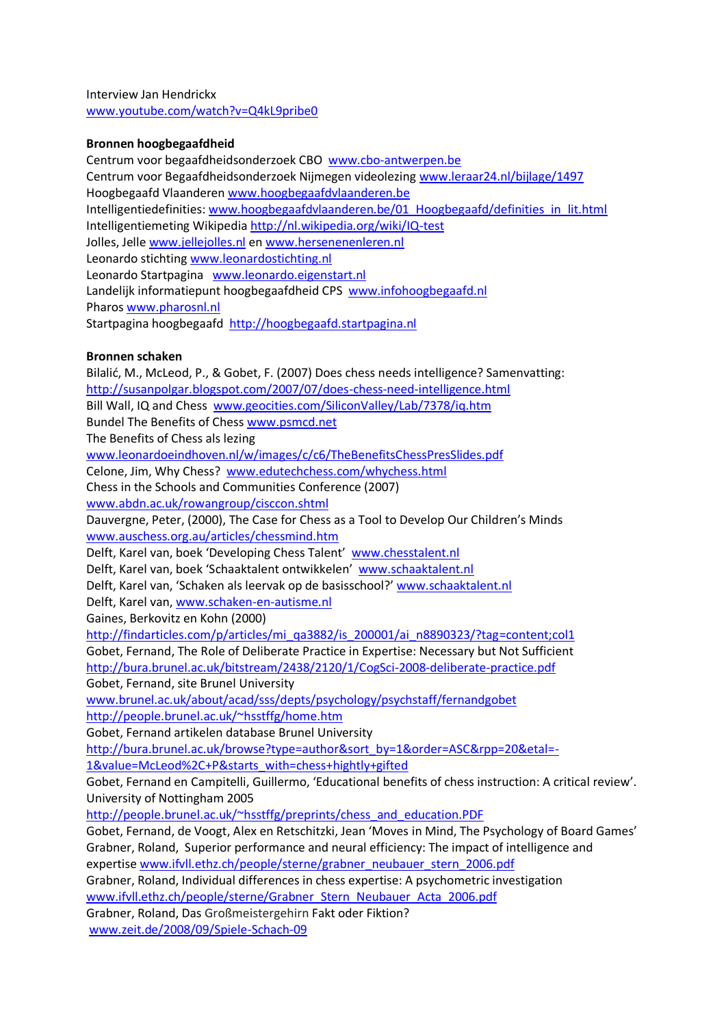Interview Jan Hendrickx [www.youtube.com/watch?v=Q4kL9pribe0](http://www.youtube.com/watch?v=Q4kL9pribe0)

# **Bronnen hoogbegaafdheid**

Centrum voor begaafdheidsonderzoek CBO [www.cbo-antwerpen.be](http://www.cbo-antwerpen.be/) Centrum voor Begaafdheidsonderzoek Nijmegen videolezin[g www.leraar24.nl/bijlage/1497](http://www.leraar24.nl/bijlage/1497) Hoogbegaafd Vlaanderen [www.hoogbegaafdvlaanderen.be](http://www.hoogbegaafdvlaanderen.be/) Intelligentiedefinities: [www.hoogbegaafdvlaanderen.be/01\\_Hoogbegaafd/definities\\_in\\_lit.html](http://www.hoogbegaafdvlaanderen.be/01_Hoogbegaafd/definities_in_lit.html) Intelligentiemeting Wikipedi[a http://nl.wikipedia.org/wiki/IQ-test](http://nl.wikipedia.org/wiki/IQ-test) Jolles, Jelle [www.jellejolles.nl](http://www.jellejolles.nl/) en [www.hersenenenleren.nl](http://www.hersenenenleren.nl/) Leonardo stichting [www.leonardostichting.nl](http://www.leonardostichting.nl/)  Leonardo Startpagina [www.leonardo.eigenstart.nl](http://www.leonardo.eigenstart.nl/) Landelijk informatiepunt hoogbegaafdheid CPS [www.infohoogbegaafd.nl](http://www.infohoogbegaafd.nl/) Pharos [www.pharosnl.nl](http://www.pharosnl.nl/) Startpagina hoogbegaafd [http://hoogbegaafd.startpagina.nl](http://hoogbegaafd.startpagina.nl/)

## **Bronnen schaken**

Bilalić, M., McLeod, P., & Gobet, F. (2007) Does chess needs intelligence? Samenvatting: <http://susanpolgar.blogspot.com/2007/07/does-chess-need-intelligence.html> Bill Wall, IQ and Chess [www.geocities.com/SiliconValley/Lab/7378/iq.htm](http://www.geocities.com/SiliconValley/Lab/7378/iq.htm) Bundel The Benefits of Ches[s www.psmcd.net](http://www.psmcd.net/) The Benefits of Chess als lezing [www.leonardoeindhoven.nl/w/images/c/c6/TheBenefitsChessPresSlides.pdf](http://www.leonardoeindhoven.nl/w/images/c/c6/TheBenefitsChessPresSlides.pdf) Celone, Jim, Why Chess? [www.edutechchess.com/whychess.html](http://www.edutechchess.com/whychess.html) Chess in the Schools and Communities Conference (2007) [www.abdn.ac.uk/rowangroup/cisccon.shtml](http://www.abdn.ac.uk/rowangroup/cisccon.shtml) Dauvergne, Peter, (2000), The Case for Chess as a Tool to Develop Our Children's Minds [www.auschess.org.au/articles/chessmind.htm](http://www.auschess.org.au/articles/chessmind.htm) Delft, Karel van, boek 'Developing Chess Talent' [www.chesstalent.nl](http://www.chesstalent.nl/) Delft, Karel van, boek 'Schaaktalent ontwikkelen' [www.schaaktalent.nl](http://www.schaaktalent.nl/) Delft, Karel van, 'Schaken als leervak op de basisschool?' [www.schaaktalent.nl](http://www.schaaktalent.nl/) Delft, Karel van, [www.schaken-en-autisme.nl](http://www.schaken-en-autisme.nl/) Gaines, Berkovitz en Kohn (2000) [http://findarticles.com/p/articles/mi\\_qa3882/is\\_200001/ai\\_n8890323/?tag=content;col1](http://findarticles.com/p/articles/mi_qa3882/is_200001/ai_n8890323/?tag=content;col1) Gobet, Fernand, The Role of Deliberate Practice in Expertise: Necessary but Not Sufficient <http://bura.brunel.ac.uk/bitstream/2438/2120/1/CogSci-2008-deliberate-practice.pdf> Gobet, Fernand, site Brunel University [www.brunel.ac.uk/about/acad/sss/depts/psychology/psychstaff/fernandgobet](http://www.brunel.ac.uk/about/acad/sss/depts/psychology/psychstaff/fernandgobet) <http://people.brunel.ac.uk/~hsstffg/home.htm> Gobet, Fernand artikelen database Brunel University [http://bura.brunel.ac.uk/browse?type=author&sort\\_by=1&order=ASC&rpp=20&etal=-](http://bura.brunel.ac.uk/browse?type=author&sort_by=1&order=ASC&rpp=20&etal=-1&value=McLeod%2C+P&starts_with=chess+hightly+gifted) [1&value=McLeod%2C+P&starts\\_with=chess+hightly+gifted](http://bura.brunel.ac.uk/browse?type=author&sort_by=1&order=ASC&rpp=20&etal=-1&value=McLeod%2C+P&starts_with=chess+hightly+gifted) Gobet, Fernand en Campitelli, Guillermo, 'Educational benefits of chess instruction: A critical review'. University of Nottingham 2005 [http://people.brunel.ac.uk/~hsstffg/preprints/chess\\_and\\_education.PDF](http://people.brunel.ac.uk/~hsstffg/preprints/chess_and_education.PDF) Gobet, Fernand, de Voogt, Alex en Retschitzki, Jean 'Moves in Mind, The Psychology of Board Games' Grabner, Roland, Superior performance and neural efficiency: The impact of intelligence and expertis[e www.ifvll.ethz.ch/people/sterne/grabner\\_neubauer\\_stern\\_2006.pdf](http://www.ifvll.ethz.ch/people/sterne/grabner_neubauer_stern_2006.pdf) Grabner, Roland, Individual differences in chess expertise: A psychometric investigation [www.ifvll.ethz.ch/people/sterne/Grabner\\_Stern\\_Neubauer\\_Acta\\_2006.pdf](http://www.ifvll.ethz.ch/people/sterne/Grabner_Stern_Neubauer_Acta_2006.pdf) Grabner, Roland, Das Großmeistergehirn Fakt oder Fiktion?

[www.zeit.de/2008/09/Spiele-Schach-09](http://www.zeit.de/2008/09/Spiele-Schach-09)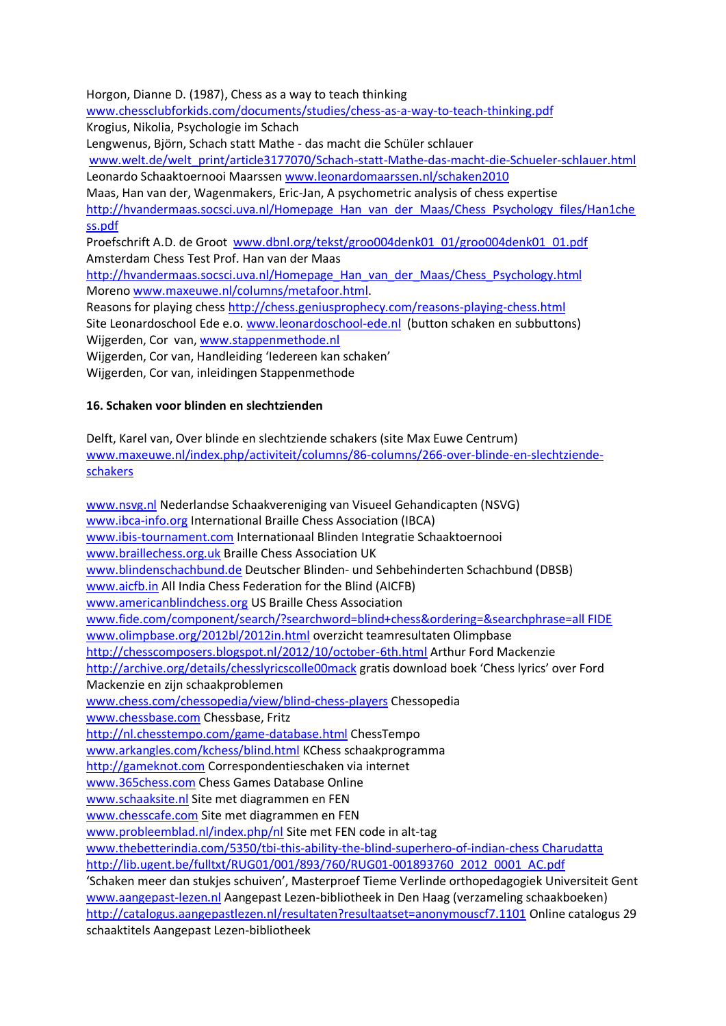Horgon, Dianne D. (1987), Chess as a way to teach thinking

[www.chessclubforkids.com/documents/studies/chess-as-a-way-to-teach-thinking.pdf](http://www.chessclubforkids.com/documents/studies/chess-as-a-way-to-teach-thinking.pdf) Krogius, Nikolia, Psychologie im Schach

Lengwenus, Björn, Schach statt Mathe - das macht die Schüler schlauer

[www.welt.de/welt\\_print/article3177070/Schach-statt-Mathe-das-macht-die-Schueler-schlauer.html](http://www.welt.de/welt_print/article3177070/Schach-statt-Mathe-das-macht-die-Schueler-schlauer.html) Leonardo Schaaktoernooi Maarssen [www.leonardomaarssen.nl/schaken2010](http://www.leonardomaarssen.nl/schaken2010)

Maas, Han van der, Wagenmakers, Eric-Jan, A psychometric analysis of chess expertise [http://hvandermaas.socsci.uva.nl/Homepage\\_Han\\_van\\_der\\_Maas/Chess\\_Psychology\\_files/Han1che](http://hvandermaas.socsci.uva.nl/Homepage_Han_van_der_Maas/Chess_Psychology_files/Han1chess.pdf) [ss.pdf](http://hvandermaas.socsci.uva.nl/Homepage_Han_van_der_Maas/Chess_Psychology_files/Han1chess.pdf)

Proefschrift A.D. de Groot [www.dbnl.org/tekst/groo004denk01\\_01/groo004denk01\\_01.pdf](http://www.dbnl.org/tekst/groo004denk01_01/groo004denk01_01.pdf) Amsterdam Chess Test Prof. Han van der Maas

[http://hvandermaas.socsci.uva.nl/Homepage\\_Han\\_van\\_der\\_Maas/Chess\\_Psychology.html](http://hvandermaas.socsci.uva.nl/Homepage_Han_van_der_Maas/Chess_Psychology.html) Moreno [www.maxeuwe.nl/columns/metafoor.html.](http://www.maxeuwe.nl/columns/metafoor.html)

Reasons for playing chess<http://chess.geniusprophecy.com/reasons-playing-chess.html> Site Leonardoschool Ede e.o. [www.leonardoschool-ede.nl](http://www.leonardoschool-ede.nl/) (button schaken en subbuttons) Wijgerden, Cor van, [www.stappenmethode.nl](http://www.stappenmethode.nl/)

Wijgerden, Cor van, Handleiding 'Iedereen kan schaken'

Wijgerden, Cor van, inleidingen Stappenmethode

# **16. Schaken voor blinden en slechtzienden**

Delft, Karel van, Over blinde en slechtziende schakers (site Max Euwe Centrum) [www.maxeuwe.nl/index.php/activiteit/columns/86-columns/266-over-blinde-en-slechtziende](http://www.maxeuwe.nl/index.php/activiteit/columns/86-columns/266-over-blinde-en-slechtziende-schakers)[schakers](http://www.maxeuwe.nl/index.php/activiteit/columns/86-columns/266-over-blinde-en-slechtziende-schakers)

[www.nsvg.nl](http://www.nsvg.nl/) Nederlandse Schaakvereniging van Visueel Gehandicapten (NSVG) [www.ibca-info.org](http://www.ibca-info.org/) International Braille Chess Association (IBCA) [www.ibis-tournament.com](http://www.ibis-tournament.com/) Internationaal Blinden Integratie Schaaktoernooi [www.braillechess.org.uk](http://www.braillechess.org.uk/) Braille Chess Association UK [www.blindenschachbund.de](http://www.blindenschachbund.de/) Deutscher Blinden- und Sehbehinderten Schachbund (DBSB) [www.aicfb.in](http://www.aicfb.in/) All India Chess Federation for the Blind (AICFB) [www.americanblindchess.org](http://www.americanblindchess.org/) US Braille Chess Association [www.fide.com/component/search/?searchword=blind+chess&ordering=&searchphrase=all FIDE](http://www.fide.com/component/search/?searchword=blind+chess&ordering=&searchphrase=all%20FIDE) [www.olimpbase.org/2012bl/2012in.html](http://www.olimpbase.org/2012bl/2012in.html) overzicht teamresultaten Olimpbase <http://chesscomposers.blogspot.nl/2012/10/october-6th.html> Arthur Ford Mackenzie <http://archive.org/details/chesslyricscolle00mack> gratis download boek 'Chess lyrics' over Ford Mackenzie en zijn schaakproblemen [www.chess.com/chessopedia/view/blind-chess-players](http://www.chess.com/chessopedia/view/blind-chess-players) Chessopedia [www.chessbase.com](http://www.chessbase.com/) Chessbase, Fritz <http://nl.chesstempo.com/game-database.html> ChessTempo [www.arkangles.com/kchess/blind.html](http://www.arkangles.com/kchess/blind.html) KChess schaakprogramma [http://gameknot.com](http://gameknot.com/) Correspondentieschaken via internet [www.365chess.com](http://www.365chess.com/) Chess Games Database Online [www.schaaksite.nl](http://www.schaaksite.nl/) Site met diagrammen en FEN [www.chesscafe.com](http://www.chesscafe.com/) Site met diagrammen en FEN [www.probleemblad.nl/index.php/nl](http://www.probleemblad.nl/index.php/nl) Site met FEN code in alt-tag [www.thebetterindia.com/5350/tbi-this-ability-the-blind-superhero-of-indian-chess Charudatta](http://www.thebetterindia.com/5350/tbi-this-ability-the-blind-superhero-of-indian-chess%20Charudatta) [http://lib.ugent.be/fulltxt/RUG01/001/893/760/RUG01-001893760\\_2012\\_0001\\_AC.pdf](http://lib.ugent.be/fulltxt/RUG01/001/893/760/RUG01-001893760_2012_0001_AC.pdf) 'Schaken meer dan stukjes schuiven', Masterproef Tieme Verlinde orthopedagogiek Universiteit Gent [www.aangepast-lezen.nl](http://www.aangepast-lezen.nl/) Aangepast Lezen-bibliotheek in Den Haag (verzameling schaakboeken) <http://catalogus.aangepastlezen.nl/resultaten?resultaatset=anonymouscf7.1101> Online catalogus 29 schaaktitels Aangepast Lezen-bibliotheek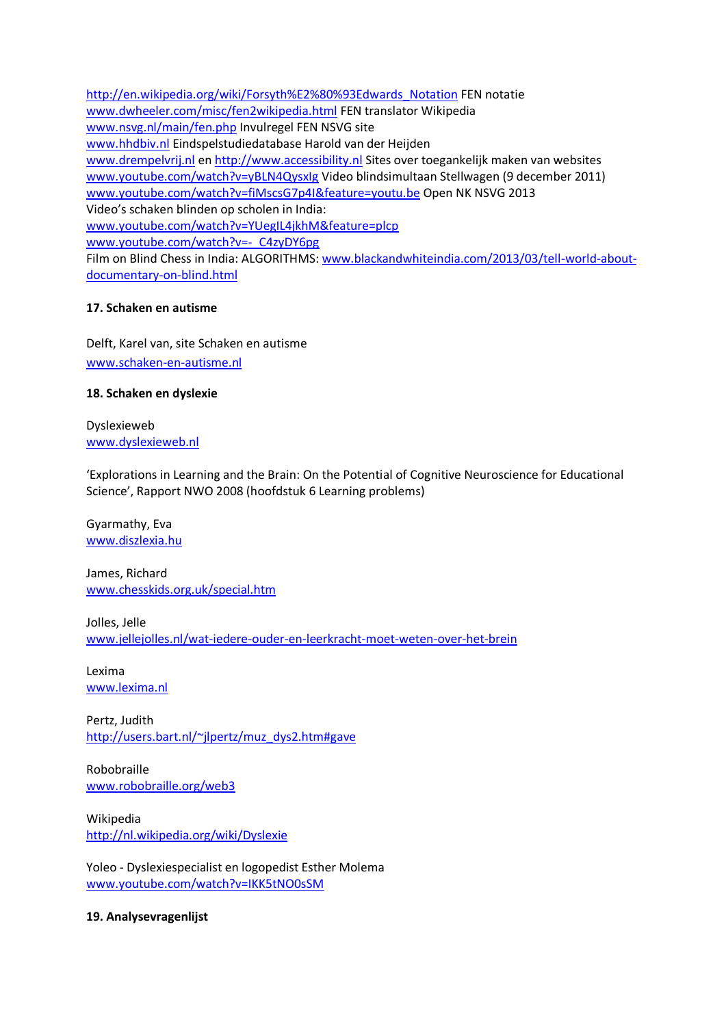[http://en.wikipedia.org/wiki/Forsyth%E2%80%93Edwards\\_Notation](http://en.wikipedia.org/wiki/Forsyth%E2%80%93Edwards_Notation) FEN notatie [www.dwheeler.com/misc/fen2wikipedia.html](http://www.dwheeler.com/misc/fen2wikipedia.html) FEN translator Wikipedia [www.nsvg.nl/main/fen.php](http://www.nsvg.nl/main/fen.php) Invulregel FEN NSVG site [www.hhdbiv.nl](http://www.hhdbiv.nl/) Eindspelstudiedatabase Harold van der Heijden [www.drempelvrij.nl](http://www.drempelvrij.nl/) en [http://www.accessibility.nl](http://www.accessibility.nl/) Sites over toegankelijk maken van websites [www.youtube.com/watch?v=yBLN4QysxIg](http://www.youtube.com/watch?v=yBLN4QysxIg) Video blindsimultaan Stellwagen (9 december 2011) [www.youtube.com/watch?v=fiMscsG7p4I&feature=youtu.be](http://www.youtube.com/watch?v=fiMscsG7p4I&feature=youtu.be) Open NK NSVG 2013 Video's schaken blinden op scholen in India: [www.youtube.com/watch?v=YUegIL4jkhM&feature=plcp](http://www.youtube.com/watch?v=YUegIL4jkhM&feature=plcp) [www.youtube.com/watch?v=-\\_C4zyDY6pg](http://www.youtube.com/watch?v=-_C4zyDY6pg) Film on Blind Chess in India: ALGORITHMS: [www.blackandwhiteindia.com/2013/03/tell-world-about](http://www.blackandwhiteindia.com/2013/03/tell-world-about-documentary-on-blind.html)[documentary-on-blind.html](http://www.blackandwhiteindia.com/2013/03/tell-world-about-documentary-on-blind.html)

# **17. Schaken en autisme**

Delft, Karel van, site Schaken en autisme [www.schaken-en-autisme.nl](http://www.schaken-en-autisme.nl/)

# **18. Schaken en dyslexie**

Dyslexieweb [www.dyslexieweb.nl](http://www.dyslexieweb.nl/)

'Explorations in Learning and the Brain: On the Potential of Cognitive Neuroscience for Educational Science', Rapport NWO 2008 (hoofdstuk 6 Learning problems)

Gyarmathy, Eva [www.diszlexia.hu](http://www.diszlexia.hu/)

James, Richard [www.chesskids.org.uk/special.htm](http://www.chesskids.org.uk/special.htm)

Jolles, Jelle [www.jellejolles.nl/wat-iedere-ouder-en-leerkracht-moet-weten-over-het-brein](http://www.jellejolles.nl/wat-iedere-ouder-en-leerkracht-moet-weten-over-het-brein)

Lexima [www.lexima.nl](http://www.lexima.nl/)

Pertz, Judith [http://users.bart.nl/~jlpertz/muz\\_dys2.htm#gave](http://users.bart.nl/~jlpertz/muz_dys2.htm#gave)

Robobraille [www.robobraille.org/web3](http://www.robobraille.org/web3)

Wikipedia <http://nl.wikipedia.org/wiki/Dyslexie>

Yoleo - Dyslexiespecialist en logopedist Esther Molema [www.youtube.com/watch?v=IKK5tNO0sSM](http://www.youtube.com/watch?v=IKK5tNO0sSM)

**19. Analysevragenlijst**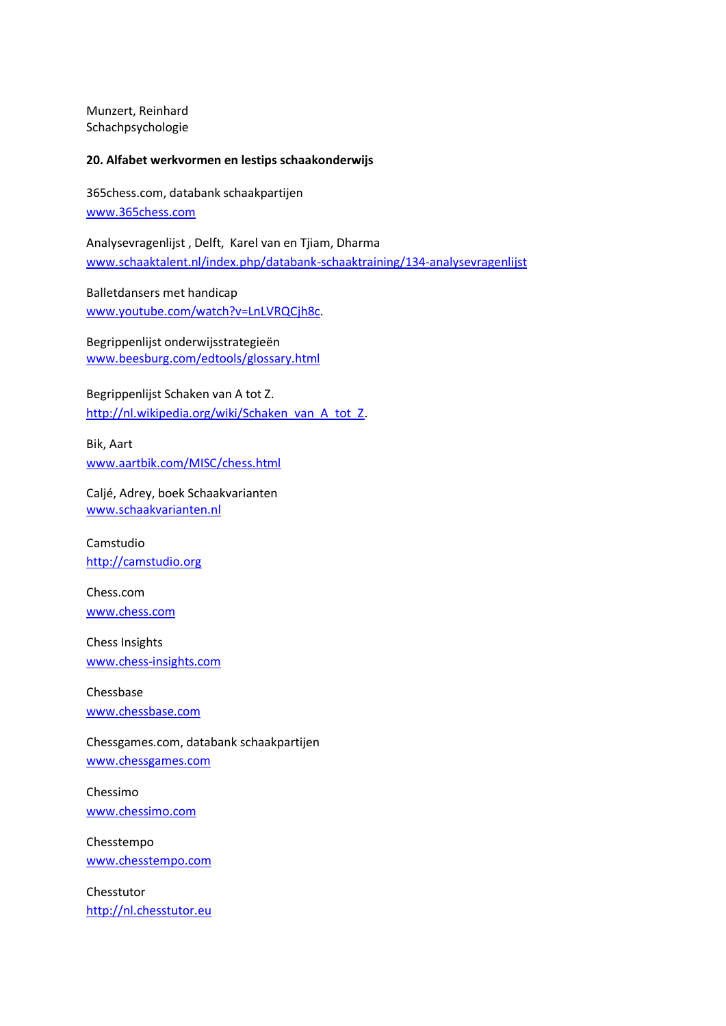Munzert, Reinhard Schachpsychologie

#### **20. Alfabet werkvormen en lestips schaakonderwijs**

365chess.com, databank schaakpartijen [www.365chess.com](http://www.365chess.com/)

Analysevragenlijst , Delft, Karel van en Tjiam, Dharma [www.schaaktalent.nl/index.php/databank-schaaktraining/134-analysevragenlijst](http://www.schaaktalent.nl/index.php/databank-schaaktraining/134-analysevragenlijst)

Balletdansers met handicap [www.youtube.com/watch?v=LnLVRQCjh8c.](http://www.youtube.com/watch?v=LnLVRQCjh8c)

Begrippenlijst onderwijsstrategieën [www.beesburg.com/edtools/glossary.html](http://www.beesburg.com/edtools/glossary.html)

Begrippenlijst Schaken van A tot Z. [http://nl.wikipedia.org/wiki/Schaken\\_van\\_A\\_tot\\_Z.](http://nl.wikipedia.org/wiki/Schaken_van_A_tot_Z)

Bik, Aart [www.aartbik.com/MISC/chess.html](http://www.aartbik.com/MISC/chess.html)

Caljé, Adrey, boek Schaakvarianten [www.schaakvarianten.nl](http://www.schaakvarianten.nl/)

Camstudio [http://camstudio.org](http://camstudio.org/)

Chess.com [www.chess.com](http://www.chess.com/)

Chess Insights [www.chess-insights.com](http://www.chess-insights.com/)

Chessbase [www.chessbase.com](http://www.chessbase.com/)

Chessgames.com, databank schaakpartijen [www.chessgames.com](http://www.chessgames.com/)

Chessimo [www.chessimo.com](http://www.chessimo.com/)

Chesstempo [www.chesstempo.com](http://www.chesstempo.com/)

Chesstutor [http://nl.chesstutor.eu](http://nl.chesstutor.eu/)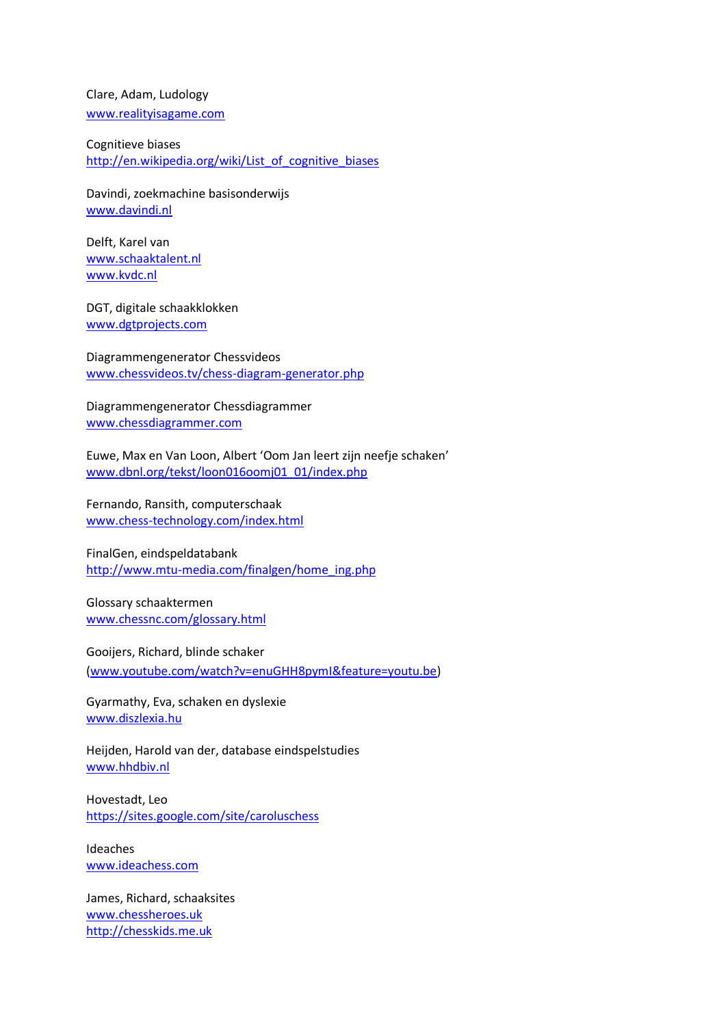Clare, Adam, Ludology [www.realityisagame.com](http://www.realityisagame.com/)

Cognitieve biases [http://en.wikipedia.org/wiki/List\\_of\\_cognitive\\_biases](http://en.wikipedia.org/wiki/List_of_cognitive_biases)

Davindi, zoekmachine basisonderwijs [www.davindi.nl](http://www.davindi.nl/)

Delft, Karel van [www.schaaktalent.nl](http://www.schaaktalent.nl/) [www.kvdc.nl](http://www.kvdc.nl/)

DGT, digitale schaakklokken [www.dgtprojects.com](http://www.dgtprojects.com/)

Diagrammengenerator Chessvideos [www.chessvideos.tv/chess-diagram-generator.php](http://www.chessvideos.tv/chess-diagram-generator.php)

Diagrammengenerator Chessdiagrammer [www.chessdiagrammer.com](http://www.chessdiagrammer.com/)

Euwe, Max en Van Loon, Albert 'Oom Jan leert zijn neefje schaken' [www.dbnl.org/tekst/loon016oomj01\\_01/index.php](http://www.dbnl.org/tekst/loon016oomj01_01/index.php)

Fernando, Ransith, computerschaak [www.chess-technology.com/index.html](http://www.chess-technology.com/index.html)

FinalGen, eindspeldatabank [http://www.mtu-media.com/finalgen/home\\_ing.php](http://www.mtu-media.com/finalgen/home_ing.php)

Glossary schaaktermen [www.chessnc.com/glossary.html](http://www.chessnc.com/glossary.html)

Gooijers, Richard, blinde schaker [\(www.youtube.com/watch?v=enuGHH8pymI&feature=youtu.be\)](http://www.youtube.com/watch?v=enuGHH8pymI&feature=youtu.be)

Gyarmathy, Eva, schaken en dyslexie [www.diszlexia.hu](http://www.diszlexia.hu/)

Heijden, Harold van der, database eindspelstudies [www.hhdbiv.nl](http://www.hhdbiv.nl/)

Hovestadt, Leo <https://sites.google.com/site/caroluschess>

Ideaches [www.ideachess.com](http://www.ideachess.com/)

James, Richard, schaaksites [www.chessheroes.uk](http://www.chessheroes.uk/) [http://chesskids.me.uk](http://chesskids.me.uk/)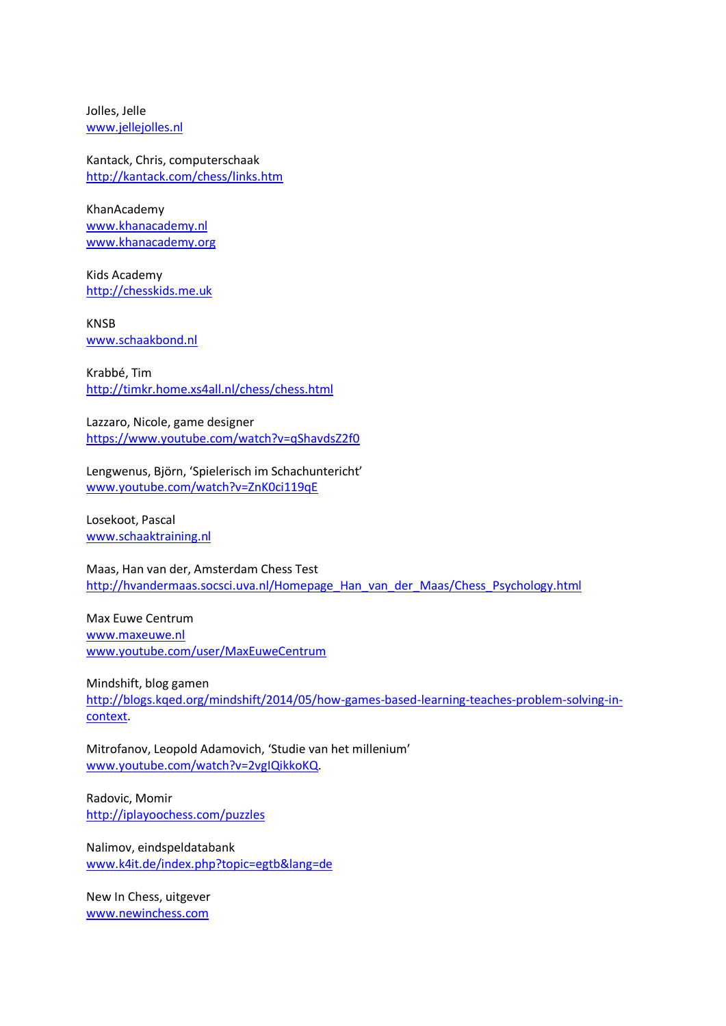Jolles, Jelle [www.jellejolles.nl](http://www.jellejolles.nl/)

Kantack, Chris, computerschaak <http://kantack.com/chess/links.htm>

KhanAcademy [www.khanacademy.nl](http://www.khanacademy.nl/) [www.khanacademy.org](http://www.khanacademy.org/)

Kids Academy [http://chesskids.me.uk](http://chesskids.me.uk/)

KNSB [www.schaakbond.nl](http://www.schaakbond.nl/)

Krabbé, Tim <http://timkr.home.xs4all.nl/chess/chess.html>

Lazzaro, Nicole, game designer <https://www.youtube.com/watch?v=qShavdsZ2f0>

Lengwenus, Björn, 'Spielerisch im Schachuntericht' [www.youtube.com/watch?v=ZnK0ci119qE](http://www.youtube.com/watch?v=ZnK0ci119qE)

Losekoot, Pascal [www.schaaktraining.nl](http://www.schaaktraining.nl/)

Maas, Han van der, Amsterdam Chess Test [http://hvandermaas.socsci.uva.nl/Homepage\\_Han\\_van\\_der\\_Maas/Chess\\_Psychology.html](http://hvandermaas.socsci.uva.nl/Homepage_Han_van_der_Maas/Chess_Psychology.html)

Max Euwe Centrum [www.maxeuwe.nl](http://www.maxeuwe.nl/) [www.youtube.com/user/MaxEuweCentrum](http://www.youtube.com/user/MaxEuweCentrum)

Mindshift, blog gamen [http://blogs.kqed.org/mindshift/2014/05/how-games-based-learning-teaches-problem-solving-in](http://blogs.kqed.org/mindshift/2014/05/how-games-based-learning-teaches-problem-solving-in-context/)[context.](http://blogs.kqed.org/mindshift/2014/05/how-games-based-learning-teaches-problem-solving-in-context/)

Mitrofanov, Leopold Adamovich, 'Studie van het millenium' [www.youtube.com/watch?v=2vgIQikkoKQ.](http://www.youtube.com/watch?v=2vgIQikkoKQ)

Radovic, Momir <http://iplayoochess.com/puzzles>

Nalimov, eindspeldatabank [www.k4it.de/index.php?topic=egtb&lang=de](http://www.k4it.de/index.php?topic=egtb&lang=de)

New In Chess, uitgever [www.newinchess.com](http://www.newinchess.com/)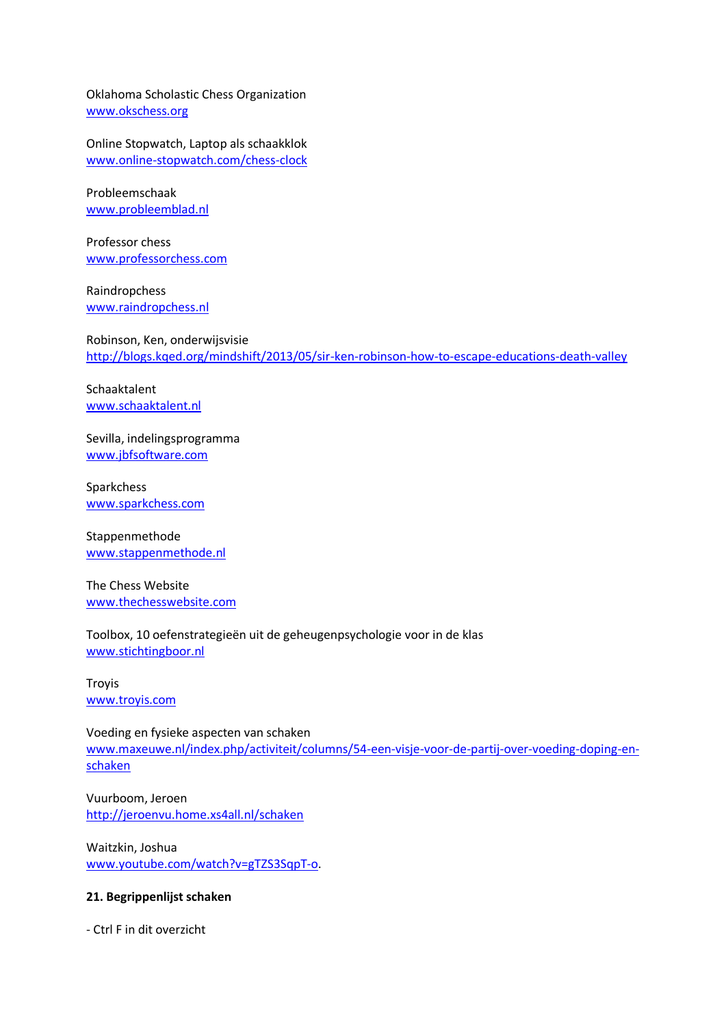Oklahoma Scholastic Chess Organization [www.okschess.org](http://www.okschess.org/)

Online Stopwatch, Laptop als schaakklok [www.online-stopwatch.com/chess-clock](http://www.online-stopwatch.com/chess-clock)

Probleemschaak [www.probleemblad.nl](http://www.probleemblad.nl/)

Professor chess [www.professorchess.com](http://www.professorchess.com/)

Raindropchess [www.raindropchess.nl](http://www.raindropchess.nl/)

Robinson, Ken, onderwijsvisie <http://blogs.kqed.org/mindshift/2013/05/sir-ken-robinson-how-to-escape-educations-death-valley>

Schaaktalent [www.schaaktalent.nl](http://www.schaaktalent.nl/)

Sevilla, indelingsprogramma [www.jbfsoftware.com](http://www.jbfsoftware.com/)

Sparkchess [www.sparkchess.com](http://www.sparkchess.com/)

Stappenmethode [www.stappenmethode.nl](http://www.stappenmethode.nl/)

The Chess Website [www.thechesswebsite.com](http://www.thechesswebsite.com/)

## Toolbox, 10 oefenstrategieën uit de geheugenpsychologie voor in de klas [www.stichtingboor.nl](http://www.stichtingboor.nl/)

**Troyis** [www.troyis.com](http://www.troyis.com/)

Voeding en fysieke aspecten van schaken [www.maxeuwe.nl/index.php/activiteit/columns/54-een-visje-voor-de-partij-over-voeding-doping-en](http://www.maxeuwe.nl/index.php/activiteit/columns/54-een-visje-voor-de-partij-over-voeding-doping-en-schaken)[schaken](http://www.maxeuwe.nl/index.php/activiteit/columns/54-een-visje-voor-de-partij-over-voeding-doping-en-schaken)

Vuurboom, Jeroen <http://jeroenvu.home.xs4all.nl/schaken>

Waitzkin, Joshua [www.youtube.com/watch?v=gTZS3SqpT-o.](http://www.youtube.com/watch?v=gTZS3SqpT-o)

#### **21. Begrippenlijst schaken**

- Ctrl F in dit overzicht